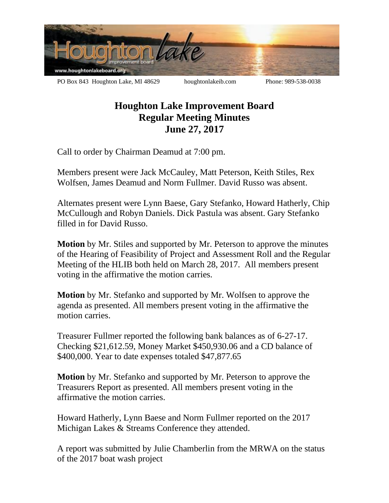

## **Houghton Lake Improvement Board Regular Meeting Minutes June 27, 2017**

Call to order by Chairman Deamud at 7:00 pm.

Members present were Jack McCauley, Matt Peterson, Keith Stiles, Rex Wolfsen, James Deamud and Norm Fullmer. David Russo was absent.

Alternates present were Lynn Baese, Gary Stefanko, Howard Hatherly, Chip McCullough and Robyn Daniels. Dick Pastula was absent. Gary Stefanko filled in for David Russo.

**Motion** by Mr. Stiles and supported by Mr. Peterson to approve the minutes of the Hearing of Feasibility of Project and Assessment Roll and the Regular Meeting of the HLIB both held on March 28, 2017. All members present voting in the affirmative the motion carries.

**Motion** by Mr. Stefanko and supported by Mr. Wolfsen to approve the agenda as presented. All members present voting in the affirmative the motion carries.

Treasurer Fullmer reported the following bank balances as of 6-27-17. Checking \$21,612.59, Money Market \$450,930.06 and a CD balance of \$400,000. Year to date expenses totaled \$47,877.65

**Motion** by Mr. Stefanko and supported by Mr. Peterson to approve the Treasurers Report as presented. All members present voting in the affirmative the motion carries.

Howard Hatherly, Lynn Baese and Norm Fullmer reported on the 2017 Michigan Lakes & Streams Conference they attended.

A report was submitted by Julie Chamberlin from the MRWA on the status of the 2017 boat wash project